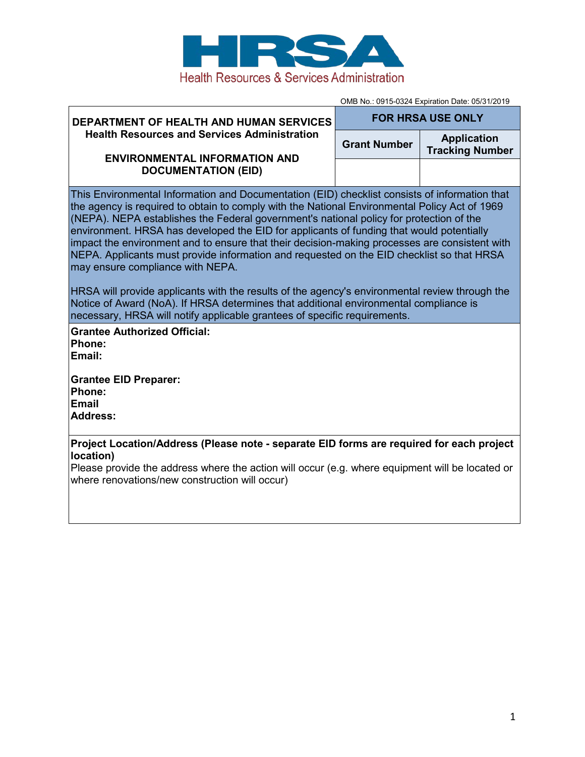

**DEPARTMENT OF HEALTH AND HUMAN SERVICES** 

OMB No.: 0915-0324 Expiration Date: 05/31/2019 **FOR HRSA USE ONLY**

| <b>Health Resources and Services Administration</b><br><b>ENVIRONMENTAL INFORMATION AND</b>                                                                                                                                                                                                                                                                                                                                                                                                                                                                                                                                                                                                                                                                                                                                                                                                     | <b>Grant Number</b> | <b>Application</b><br><b>Tracking Number</b> |  |  |  |  |
|-------------------------------------------------------------------------------------------------------------------------------------------------------------------------------------------------------------------------------------------------------------------------------------------------------------------------------------------------------------------------------------------------------------------------------------------------------------------------------------------------------------------------------------------------------------------------------------------------------------------------------------------------------------------------------------------------------------------------------------------------------------------------------------------------------------------------------------------------------------------------------------------------|---------------------|----------------------------------------------|--|--|--|--|
| <b>DOCUMENTATION (EID)</b>                                                                                                                                                                                                                                                                                                                                                                                                                                                                                                                                                                                                                                                                                                                                                                                                                                                                      |                     |                                              |  |  |  |  |
| This Environmental Information and Documentation (EID) checklist consists of information that<br>the agency is required to obtain to comply with the National Environmental Policy Act of 1969<br>(NEPA). NEPA establishes the Federal government's national policy for protection of the<br>environment. HRSA has developed the EID for applicants of funding that would potentially<br>impact the environment and to ensure that their decision-making processes are consistent with<br>NEPA. Applicants must provide information and requested on the EID checklist so that HRSA<br>may ensure compliance with NEPA.<br>HRSA will provide applicants with the results of the agency's environmental review through the<br>Notice of Award (NoA). If HRSA determines that additional environmental compliance is<br>necessary, HRSA will notify applicable grantees of specific requirements. |                     |                                              |  |  |  |  |
| <b>Grantee Authorized Official:</b>                                                                                                                                                                                                                                                                                                                                                                                                                                                                                                                                                                                                                                                                                                                                                                                                                                                             |                     |                                              |  |  |  |  |
| Phone:<br>Email:                                                                                                                                                                                                                                                                                                                                                                                                                                                                                                                                                                                                                                                                                                                                                                                                                                                                                |                     |                                              |  |  |  |  |
| <b>Grantee EID Preparer:</b><br>Phone:<br><b>Email</b><br><b>Address:</b>                                                                                                                                                                                                                                                                                                                                                                                                                                                                                                                                                                                                                                                                                                                                                                                                                       |                     |                                              |  |  |  |  |
| Project Location/Address (Please note - separate EID forms are required for each project<br>location)                                                                                                                                                                                                                                                                                                                                                                                                                                                                                                                                                                                                                                                                                                                                                                                           |                     |                                              |  |  |  |  |
| Please provide the address where the action will occur (e.g. where equipment will be located or<br>where renovations/new construction will occur)                                                                                                                                                                                                                                                                                                                                                                                                                                                                                                                                                                                                                                                                                                                                               |                     |                                              |  |  |  |  |
|                                                                                                                                                                                                                                                                                                                                                                                                                                                                                                                                                                                                                                                                                                                                                                                                                                                                                                 |                     |                                              |  |  |  |  |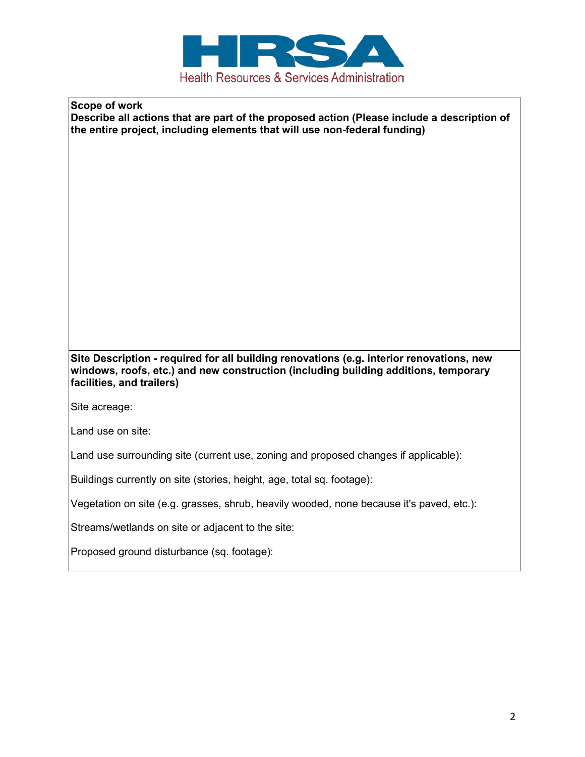

**Scope of work Describe all actions that are part of the proposed action (Please include a description of the entire project, including elements that will use non-federal funding)**

**Site Description - required for all building renovations (e.g. interior renovations, new windows, roofs, etc.) and new construction (including building additions, temporary facilities, and trailers)**

Site acreage:

Land use on site:

Land use surrounding site (current use, zoning and proposed changes if applicable):

Buildings currently on site (stories, height, age, total sq. footage):

Vegetation on site (e.g. grasses, shrub, heavily wooded, none because it's paved, etc.):

Streams/wetlands on site or adjacent to the site:

Proposed ground disturbance (sq. footage):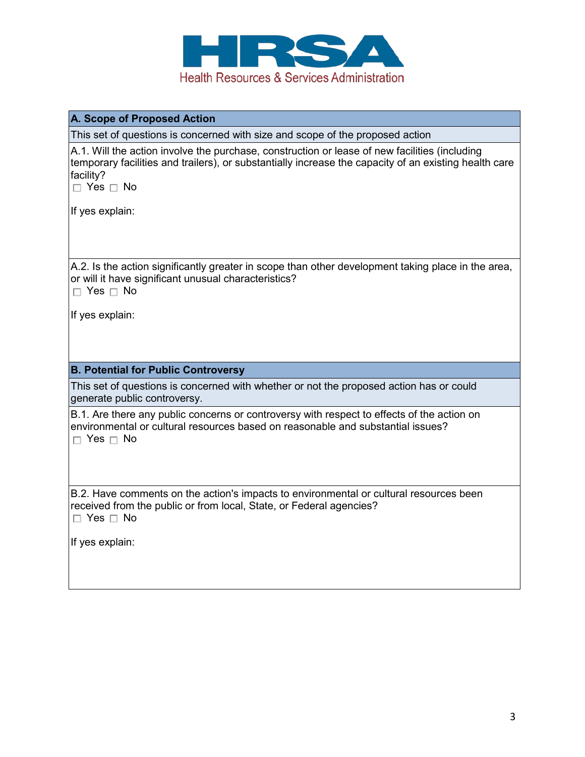

## **A. Scope of Proposed Action**

This set of questions is concerned with size and scope of the proposed action

A.1. Will the action involve the purchase, construction or lease of new facilities (including temporary facilities and trailers), or substantially increase the capacity of an existing health care facility?

 $\Box$  Yes  $\Box$  No

If yes explain:

A.2. Is the action significantly greater in scope than other development taking place in the area, or will it have significant unusual characteristics?

 $\Box$  Yes  $\Box$  No

If yes explain:

## **B. Potential for Public Controversy**

This set of questions is concerned with whether or not the proposed action has or could generate public controversy.

B.1. Are there any public concerns or controversy with respect to effects of the action on environmental or cultural resources based on reasonable and substantial issues?  $\Box$  Yes  $\Box$  No

B.2. Have comments on the action's impacts to environmental or cultural resources been received from the public or from local, State, or Federal agencies?  $\Box$  Yes  $\Box$  No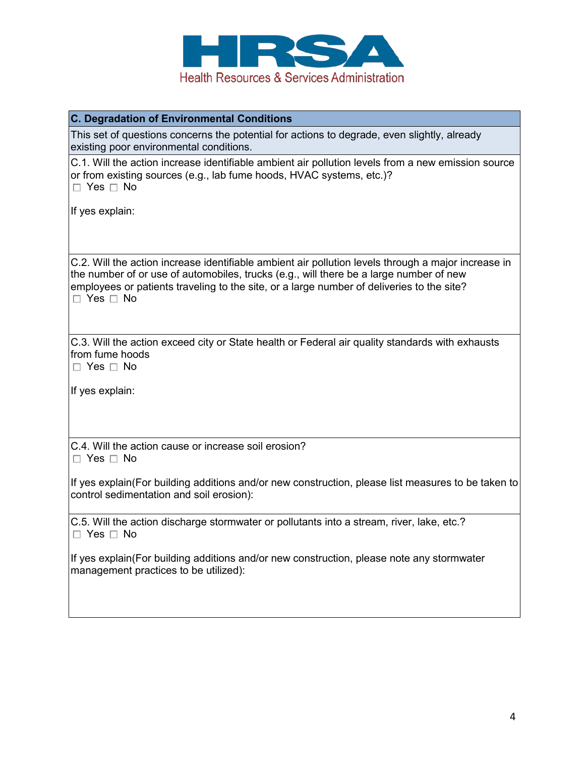

| C. Degradation of Environmental Conditions                                                                                                                                                                                                                                                                         |
|--------------------------------------------------------------------------------------------------------------------------------------------------------------------------------------------------------------------------------------------------------------------------------------------------------------------|
| This set of questions concerns the potential for actions to degrade, even slightly, already<br>existing poor environmental conditions.                                                                                                                                                                             |
| C.1. Will the action increase identifiable ambient air pollution levels from a new emission source<br>or from existing sources (e.g., lab fume hoods, HVAC systems, etc.)?<br>$\Box$ Yes $\Box$ No                                                                                                                 |
| If yes explain:                                                                                                                                                                                                                                                                                                    |
| C.2. Will the action increase identifiable ambient air pollution levels through a major increase in<br>the number of or use of automobiles, trucks (e.g., will there be a large number of new<br>employees or patients traveling to the site, or a large number of deliveries to the site?<br>$\Box$ Yes $\Box$ No |
| C.3. Will the action exceed city or State health or Federal air quality standards with exhausts<br>from fume hoods<br>$\Box$ Yes $\Box$ No                                                                                                                                                                         |
| If yes explain:                                                                                                                                                                                                                                                                                                    |
| C.4. Will the action cause or increase soil erosion?<br>$\Box$ Yes $\Box$ No                                                                                                                                                                                                                                       |
| If yes explain (For building additions and/or new construction, please list measures to be taken to<br>control sedimentation and soil erosion):                                                                                                                                                                    |
| C.5. Will the action discharge stormwater or pollutants into a stream, river, lake, etc.?<br>$\Box$ Yes $\Box$ No                                                                                                                                                                                                  |
| If yes explain(For building additions and/or new construction, please note any stormwater<br>management practices to be utilized):                                                                                                                                                                                 |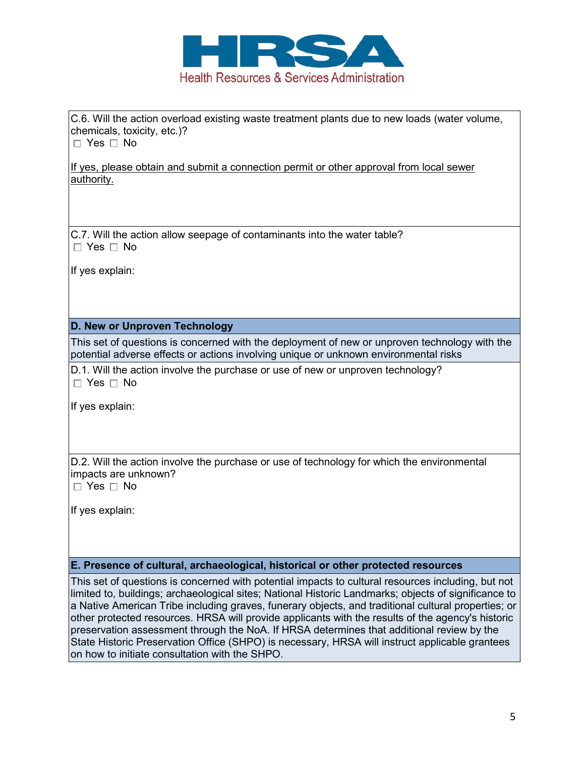

C.6. Will the action overload existing waste treatment plants due to new loads (water volume, chemicals, toxicity, etc.)?

 $\Box$  Yes  $\Box$  No

If yes, please obtain and submit a connection permit or other approval from local sewer authority.

C.7. Will the action allow seepage of contaminants into the water table?  $\Box$  Yes  $\Box$  No

If yes explain:

## **D. New or Unproven Technology**

This set of questions is concerned with the deployment of new or unproven technology with the potential adverse effects or actions involving unique or unknown environmental risks

D.1. Will the action involve the purchase or use of new or unproven technology?  $\Box$  Yes  $\Box$  No

If yes explain:

D.2. Will the action involve the purchase or use of technology for which the environmental impacts are unknown?

 $\Box$  Yes  $\Box$  No

If yes explain:

## **E. Presence of cultural, archaeological, historical or other protected resources**

This set of questions is concerned with potential impacts to cultural resources including, but not limited to, buildings; archaeological sites; National Historic Landmarks; objects of significance to a Native American Tribe including graves, funerary objects, and traditional cultural properties; or other protected resources. HRSA will provide applicants with the results of the agency's historic preservation assessment through the NoA. If HRSA determines that additional review by the State Historic Preservation Office (SHPO) is necessary, HRSA will instruct applicable grantees on how to initiate consultation with the SHPO.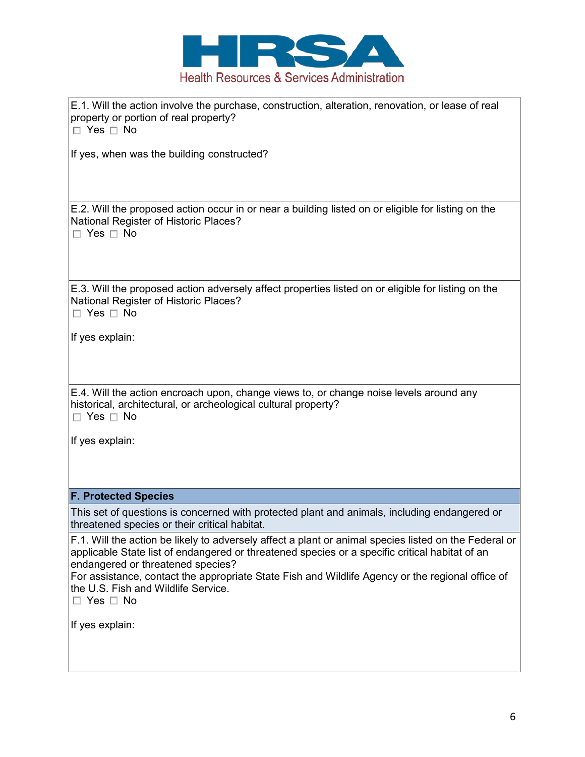

E.1. Will the action involve the purchase, construction, alteration, renovation, or lease of real property or portion of real property?

 $\Box$  Yes  $\Box$  No

If yes, when was the building constructed?

E.2. Will the proposed action occur in or near a building listed on or eligible for listing on the National Register of Historic Places?

 $\Box$  Yes  $\Box$  No

E.3. Will the proposed action adversely affect properties listed on or eligible for listing on the National Register of Historic Places?

 $\Box$  Yes  $\Box$  No

If yes explain:

E.4. Will the action encroach upon, change views to, or change noise levels around any historical, architectural, or archeological cultural property?  $\Box$  Yes  $\Box$  No

If yes explain:

# **F. Protected Species**

This set of questions is concerned with protected plant and animals, including endangered or threatened species or their critical habitat.

F.1. Will the action be likely to adversely affect a plant or animal species listed on the Federal or applicable State list of endangered or threatened species or a specific critical habitat of an endangered or threatened species?

For assistance, contact the appropriate State Fish and Wildlife Agency or the regional office of the U.S. Fish and Wildlife Service.

 $\Box$  Yes  $\Box$  No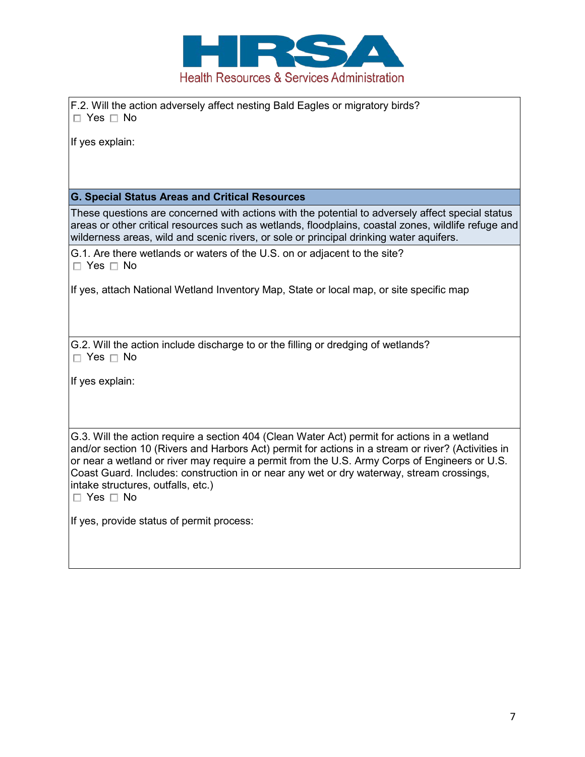

F.2. Will the action adversely affect nesting Bald Eagles or migratory birds?  $\Box$  Yes  $\Box$  No

If yes explain:

## **G. Special Status Areas and Critical Resources**

These questions are concerned with actions with the potential to adversely affect special status areas or other critical resources such as wetlands, floodplains, coastal zones, wildlife refuge and wilderness areas, wild and scenic rivers, or sole or principal drinking water aquifers.

G.1. Are there wetlands or waters of the U.S. on or adjacent to the site?  $\Box$  Yes  $\Box$  No

If yes, attach National Wetland Inventory Map, State or local map, or site specific map

G.2. Will the action include discharge to or the filling or dredging of wetlands?  $\Box$  Yes  $\Box$  No

If yes explain:

G.3. Will the action require a section 404 (Clean Water Act) permit for actions in a wetland and/or section 10 (Rivers and Harbors Act) permit for actions in a stream or river? (Activities in or near a wetland or river may require a permit from the U.S. Army Corps of Engineers or U.S. Coast Guard. Includes: construction in or near any wet or dry waterway, stream crossings, intake structures, outfalls, etc.)

 $\Box$  Yes  $\Box$  No

If yes, provide status of permit process: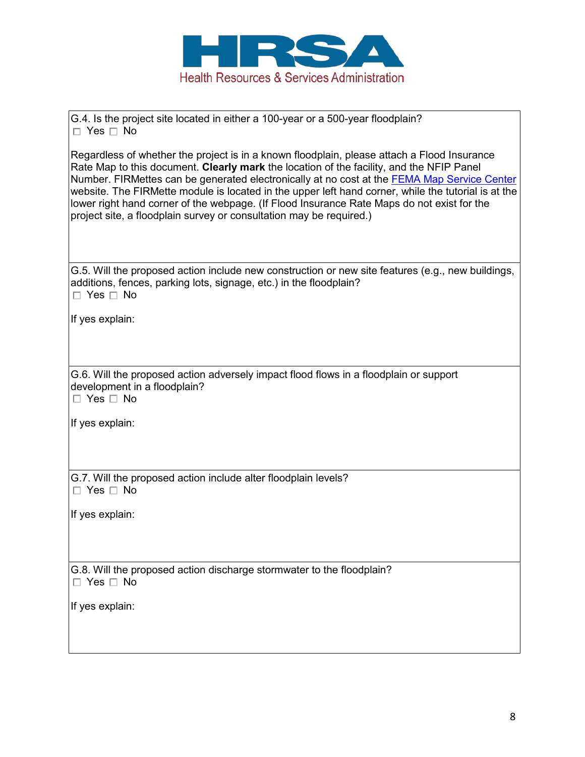

G.4. Is the project site located in either a 100-year or a 500-year floodplain?  $\Box$  Yes  $\Box$  No

Regardless of whether the project is in a known floodplain, please attach a Flood Insurance Rate Map to this document. **Clearly mark** the location of the facility, and the NFIP Panel Number. FIRMettes can be generated electronically at no cost at the FEMA Map Service Center website. The FIRMette module is located in the upper left hand corner, while the tutorial is at the lower right hand corner of the webpage. (If Flood Insurance Rate Maps do not exist for the project site, a floodplain survey or consultation may be required.)

G.5. Will the proposed action include new construction or new site features (e.g., new buildings, additions, fences, parking lots, signage, etc.) in the floodplain?  $\Box$  Yes  $\Box$  No

If yes explain:

G.6. Will the proposed action adversely impact flood flows in a floodplain or support development in a floodplain?

 $\Box$  Yes  $\Box$  No

If yes explain:

G.7. Will the proposed action include alter floodplain levels?  $\Box$  Yes  $\Box$  No

If yes explain:

G.8. Will the proposed action discharge stormwater to the floodplain?  $\Box$  Yes  $\Box$  No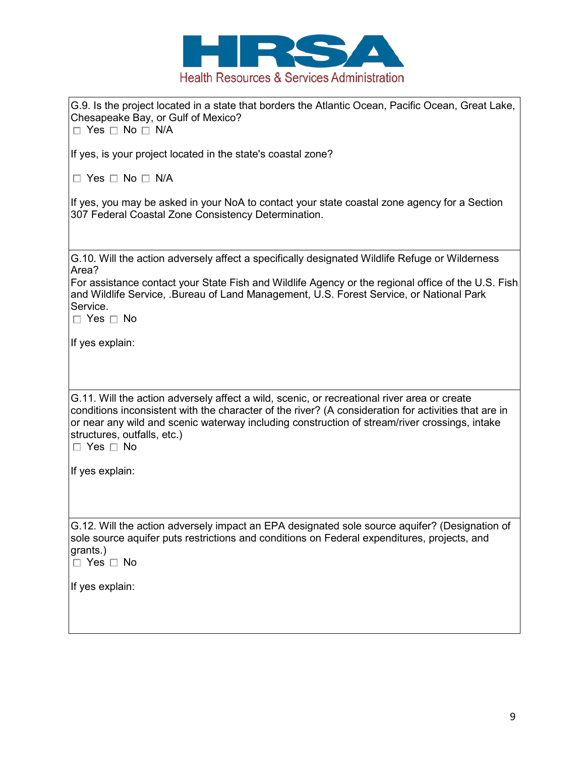

| G.9. Is the project located in a state that borders the Atlantic Ocean, Pacific Ocean, Great Lake,<br>Chesapeake Bay, or Gulf of Mexico?<br>$\Box$ Yes $\Box$ No $\Box$ N/A                                                                                                                                                                                 |
|-------------------------------------------------------------------------------------------------------------------------------------------------------------------------------------------------------------------------------------------------------------------------------------------------------------------------------------------------------------|
| If yes, is your project located in the state's coastal zone?                                                                                                                                                                                                                                                                                                |
| $\Box$ Yes $\Box$ No $\Box$ N/A                                                                                                                                                                                                                                                                                                                             |
| If yes, you may be asked in your NoA to contact your state coastal zone agency for a Section<br>307 Federal Coastal Zone Consistency Determination.                                                                                                                                                                                                         |
| G.10. Will the action adversely affect a specifically designated Wildlife Refuge or Wilderness<br>Area?                                                                                                                                                                                                                                                     |
| For assistance contact your State Fish and Wildlife Agency or the regional office of the U.S. Fish<br>and Wildlife Service, .Bureau of Land Management, U.S. Forest Service, or National Park<br>Service.<br>$\Box$ Yes $\Box$ No                                                                                                                           |
| If yes explain:                                                                                                                                                                                                                                                                                                                                             |
| G.11. Will the action adversely affect a wild, scenic, or recreational river area or create<br>conditions inconsistent with the character of the river? (A consideration for activities that are in<br>or near any wild and scenic waterway including construction of stream/river crossings, intake<br>structures, outfalls, etc.)<br>$\Box$ Yes $\Box$ No |
| If yes explain:                                                                                                                                                                                                                                                                                                                                             |
| G.12. Will the action adversely impact an EPA designated sole source aquifer? (Designation of<br>sole source aquifer puts restrictions and conditions on Federal expenditures, projects, and<br>grants.)<br>$\Box$ Yes $\Box$ No                                                                                                                            |
| If yes explain:                                                                                                                                                                                                                                                                                                                                             |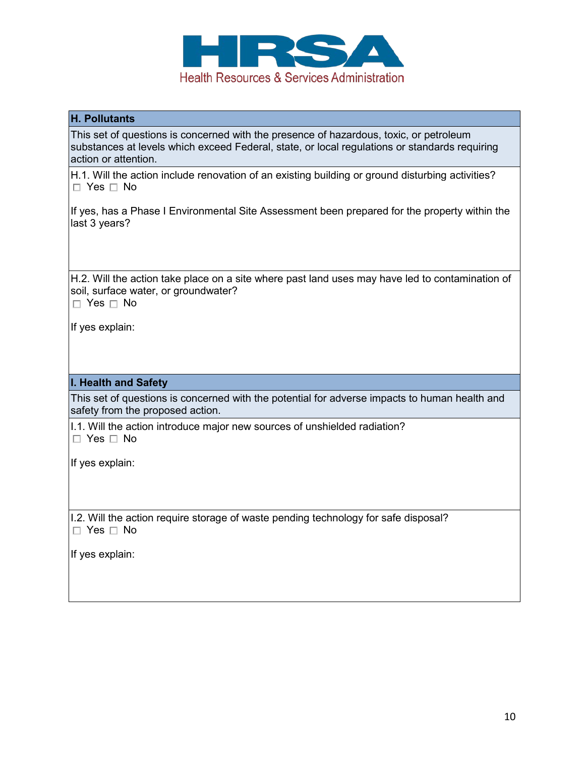

## **H. Pollutants**

This set of questions is concerned with the presence of hazardous, toxic, or petroleum substances at levels which exceed Federal, state, or local regulations or standards requiring action or attention.

H.1. Will the action include renovation of an existing building or ground disturbing activities?  $\Box$  Yes  $\Box$  No

If yes, has a Phase I Environmental Site Assessment been prepared for the property within the last 3 years?

H.2. Will the action take place on a site where past land uses may have led to contamination of soil, surface water, or groundwater?

 $\Box$  Yes  $\Box$  No

If yes explain:

## **I. Health and Safety**

This set of questions is concerned with the potential for adverse impacts to human health and safety from the proposed action.

I.1. Will the action introduce major new sources of unshielded radiation?  $\Box$  Yes  $\Box$  No

If yes explain:

I.2. Will the action require storage of waste pending technology for safe disposal?  $\Box$  Yes  $\Box$  No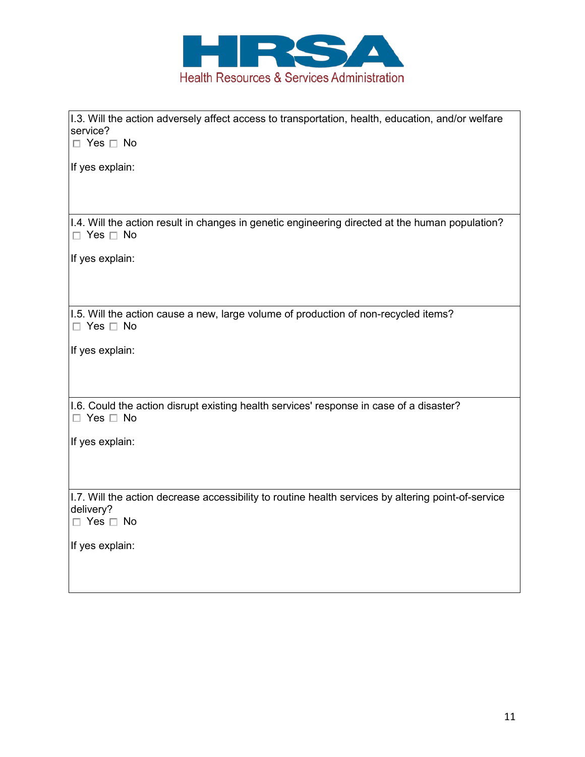

| 1.3. Will the action adversely affect access to transportation, health, education, and/or welfare<br>service?           |
|-------------------------------------------------------------------------------------------------------------------------|
| $\Box$ Yes $\Box$ No                                                                                                    |
| If yes explain:                                                                                                         |
|                                                                                                                         |
| 1.4. Will the action result in changes in genetic engineering directed at the human population?<br>$\Box$ Yes $\Box$ No |
| If yes explain:                                                                                                         |
|                                                                                                                         |
| 1.5. Will the action cause a new, large volume of production of non-recycled items?<br>$\Box$ Yes $\Box$ No             |
| If yes explain:                                                                                                         |
|                                                                                                                         |
| 1.6. Could the action disrupt existing health services' response in case of a disaster?                                 |
| $\Box$ Yes $\Box$ No                                                                                                    |
| If yes explain:                                                                                                         |
|                                                                                                                         |
|                                                                                                                         |
| 1.7. Will the action decrease accessibility to routine health services by altering point-of-service<br>delivery?        |
| $\Box$ Yes $\Box$ No                                                                                                    |
| If yes explain:                                                                                                         |
|                                                                                                                         |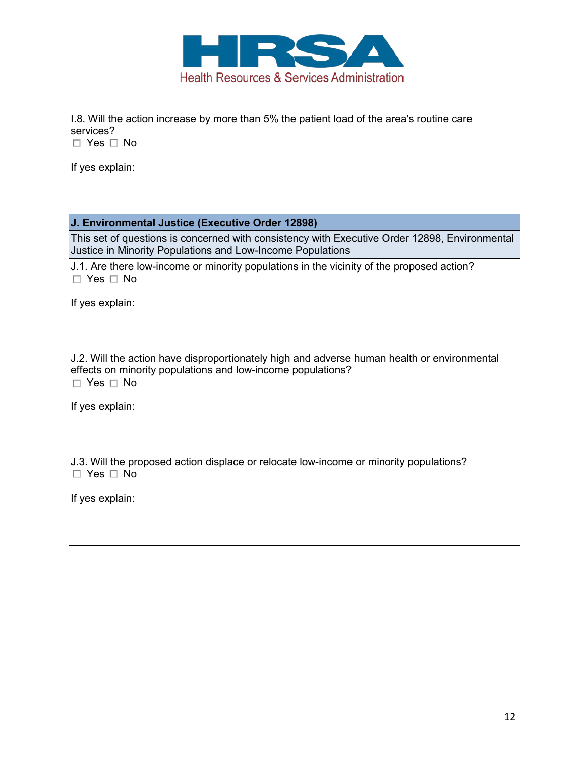

| 1.8. Will the action increase by more than 5% the patient load of the area's routine care<br>services?<br>$\Box$ Yes $\Box$ No                                                     |
|------------------------------------------------------------------------------------------------------------------------------------------------------------------------------------|
| If yes explain:                                                                                                                                                                    |
|                                                                                                                                                                                    |
| J. Environmental Justice (Executive Order 12898)                                                                                                                                   |
| This set of questions is concerned with consistency with Executive Order 12898, Environmental<br>Justice in Minority Populations and Low-Income Populations                        |
| J.1. Are there low-income or minority populations in the vicinity of the proposed action?<br>$\Box$ Yes $\Box$ No                                                                  |
| If yes explain:                                                                                                                                                                    |
|                                                                                                                                                                                    |
| J.2. Will the action have disproportionately high and adverse human health or environmental<br>effects on minority populations and low-income populations?<br>$\Box$ Yes $\Box$ No |
| If yes explain:                                                                                                                                                                    |
| J.3. Will the proposed action displace or relocate low-income or minority populations?                                                                                             |
| $\Box$ Yes $\Box$ No                                                                                                                                                               |
| If yes explain:                                                                                                                                                                    |
|                                                                                                                                                                                    |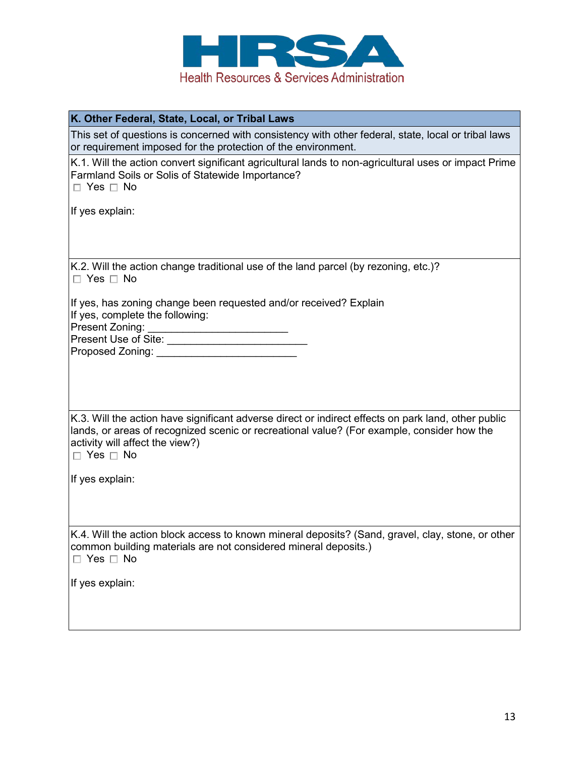

|  |  |  |  |  | K. Other Federal, State, Local, or Tribal Laws |  |
|--|--|--|--|--|------------------------------------------------|--|
|--|--|--|--|--|------------------------------------------------|--|

This set of questions is concerned with consistency with other federal, state, local or tribal laws or requirement imposed for the protection of the environment.

K.1. Will the action convert significant agricultural lands to non-agricultural uses or impact Prime Farmland Soils or Solis of Statewide Importance?

 $\Box$  Yes  $\Box$  No

If yes explain:

K.2. Will the action change traditional use of the land parcel (by rezoning, etc.)?  $\Box$  Yes  $\Box$  No

If yes, has zoning change been requested and/or received? Explain If yes, complete the following: Present Zoning:

Present Use of Site: \_\_\_\_\_\_\_\_\_\_\_\_\_\_\_\_\_\_\_\_\_\_\_\_

Proposed Zoning: \_\_\_\_\_\_\_\_\_\_\_\_\_\_\_\_\_\_\_\_\_\_\_\_

K.3. Will the action have significant adverse direct or indirect effects on park land, other public lands, or areas of recognized scenic or recreational value? (For example, consider how the activity will affect the view?)

 $\Box$  Yes  $\Box$  No

If yes explain:

K.4. Will the action block access to known mineral deposits? (Sand, gravel, clay, stone, or other common building materials are not considered mineral deposits.)  $\Box$  Yes  $\Box$  No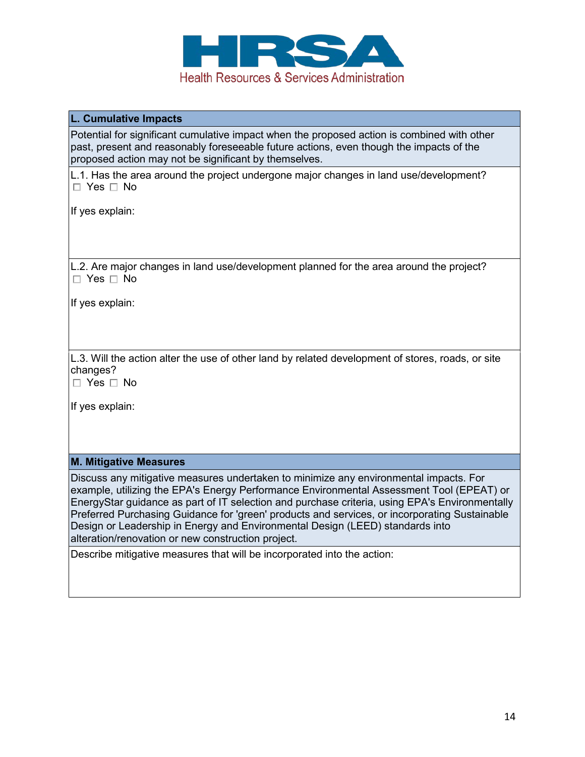

| L. Cumulative Impacts                                                                                                                                                                                                                                                                                                                                                                                                                                                                                                       |
|-----------------------------------------------------------------------------------------------------------------------------------------------------------------------------------------------------------------------------------------------------------------------------------------------------------------------------------------------------------------------------------------------------------------------------------------------------------------------------------------------------------------------------|
| Potential for significant cumulative impact when the proposed action is combined with other<br>past, present and reasonably foreseeable future actions, even though the impacts of the<br>proposed action may not be significant by themselves.                                                                                                                                                                                                                                                                             |
| L.1. Has the area around the project undergone major changes in land use/development?<br>$\Box$ Yes $\Box$ No                                                                                                                                                                                                                                                                                                                                                                                                               |
| If yes explain:                                                                                                                                                                                                                                                                                                                                                                                                                                                                                                             |
| L.2. Are major changes in land use/development planned for the area around the project?<br>$\Box$ Yes $\Box$ No                                                                                                                                                                                                                                                                                                                                                                                                             |
| If yes explain:                                                                                                                                                                                                                                                                                                                                                                                                                                                                                                             |
| L.3. Will the action alter the use of other land by related development of stores, roads, or site<br>changes?<br>$\Box$ Yes $\Box$ No                                                                                                                                                                                                                                                                                                                                                                                       |
| If yes explain:                                                                                                                                                                                                                                                                                                                                                                                                                                                                                                             |
| <b>M. Mitigative Measures</b>                                                                                                                                                                                                                                                                                                                                                                                                                                                                                               |
| Discuss any mitigative measures undertaken to minimize any environmental impacts. For<br>example, utilizing the EPA's Energy Performance Environmental Assessment Tool (EPEAT) or<br>EnergyStar guidance as part of IT selection and purchase criteria, using EPA's Environmentally<br>Preferred Purchasing Guidance for 'green' products and services, or incorporating Sustainable<br>Design or Leadership in Energy and Environmental Design (LEED) standards into<br>alteration/renovation or new construction project. |
| Describe mitigative measures that will be incorporated into the action:                                                                                                                                                                                                                                                                                                                                                                                                                                                     |